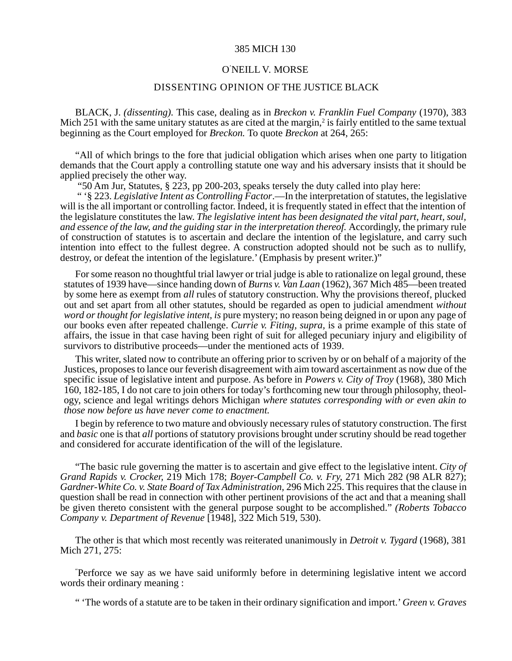### 385 MICH 130

# O' NEILL V. MORSE

# DISSENTING OPINION OF THE JUSTICE BLACK

BLACK, J. *(dissenting).* This case, dealing as in *Breckon v. Franklin Fuel Company* (1970), 383 Mich 251 with the same unitary statutes as are cited at the margin,<sup>2</sup> is fairly entitled to the same textual beginning as the Court employed for *Breckon.* To quote *Breckon* at 264, 265:

"All of which brings to the fore that judicial obligation which arises when one party to litigation demands that the Court apply a controlling statute one way and his adversary insists that it should be applied precisely the other way.

"50 Am Jur, Statutes, § 223, pp 200-203, speaks tersely the duty called into play here:

 " '§ 223. *Legislative Intent as Controlling Factor*.—In the interpretation of statutes, the legislative will is the all important or controlling factor. Indeed, it is frequently stated in effect that the intention of the legislature constitutes the law. *The legislative intent has been designated the vital part, heart, soul, and essence of the law, and the guiding star in the interpretation thereof.* Accordingly, the primary rule of construction of statutes is to ascertain and declare the intention of the legislature, and carry such intention into effect to the fullest degree. A construction adopted should not be such as to nullify, destroy, or defeat the intention of the legislature.' (Emphasis by present writer.)"

For some reason no thoughtful trial lawyer or trial judge is able to rationalize on legal ground, these statutes of 1939 have—since handing down of *Burns v. Van Laan* (1962), 367 Mich 485—been treated by some here as exempt from *all* rules of statutory construction. Why the provisions thereof, plucked out and set apart from all other statutes, should be regarded as open to judicial amendment *without word or thought for legislative intent, is* pure mystery; no reason being deigned in or upon any page of our books even after repeated challenge. *Currie v. Fiting, supra,* is a prime example of this state of affairs, the issue in that case having been right of suit for alleged pecuniary injury and eligibility of survivors to distributive proceeds—under the mentioned acts of 1939.

This writer, slated now to contribute an offering prior to scriven by or on behalf of a majority of the Justices, proposes to lance our feverish disagreement with aim toward ascertainment as now due of the specific issue of legislative intent and purpose. As before in *Powers v. City of Troy* (1968), 380 Mich 160, 182-185, I do not care to join others for today's forthcoming new tour through philosophy, theology, science and legal writings dehors Michigan *where statutes corresponding with or even akin to those now before us have never come to enactment.*

I begin by reference to two mature and obviously necessary rules of statutory construction. The first and *basic* one is that *all* portions of statutory provisions brought under scrutiny should be read together and considered for accurate identification of the will of the legislature.

"The basic rule governing the matter is to ascertain and give effect to the legislative intent. *City of Grand Rapids v. Crocker,* 219 Mich 178; *Boyer-Campbell Co. v. Fry,* 271 Mich 282 (98 ALR 827); *Gardner-White Co. v. State Board of Tax Administration, 296 Mich 225. This requires that the clause in* question shall be read in connection with other pertinent provisions of the act and that a meaning shall be given thereto consistent with the general purpose sought to be accomplished." *(Roberts Tobacco Company v. Department of Revenue* [1948], 322 Mich 519, 530).

The other is that which most recently was reiterated unanimously in *Detroit v. Tygard* (1968), 381 Mich 271, 275:

" Perforce we say as we have said uniformly before in determining legislative intent we accord words their ordinary meaning :

" 'The words of a statute are to be taken in their ordinary signification and import.' *Green v. Graves*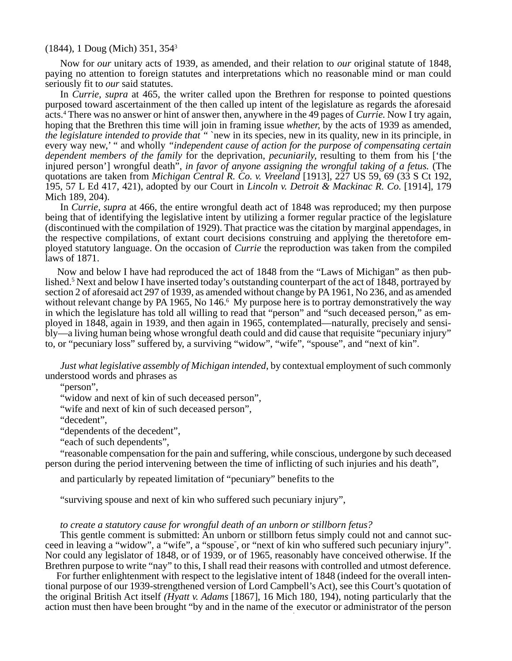### (1844), 1 Doug (Mich) 351, 3543

Now for *our* unitary acts of 1939, as amended, and their relation to *our* original statute of 1848, paying no attention to foreign statutes and interpretations which no reasonable mind or man could seriously fit to *our* said statutes.

In *Currie, supra* at 465, the writer called upon the Brethren for response to pointed questions purposed toward ascertainment of the then called up intent of the legislature as regards the aforesaid acts.4 There was no answer or hint of answer then, anywhere in the 49 pages of *Currie.* Now I try again, hoping that the Brethren this time will join in framing issue *whether,* by the acts of 1939 as amended, *the legislature intended to provide that "* `new in its species, new in its quality, new in its principle, in every way new,' " and wholly *"independent cause of action for the purpose of compensating certain dependent members of the family* for the deprivation, *pecuniarily,* resulting to them from his ['the injured person'] wrongful death", *in favor of anyone assigning the wrongful taking of a fetus.* (The quotations are taken from *Michigan Central R. Co. v. Vreeland* [1913], 227 US 59, 69 (33 S Ct 192, 195, 57 L Ed 417, 421), adopted by our Court in *Lincoln v. Detroit & Mackinac R. Co.* [1914], 179 Mich 189, 204).

In *Currie, supra* at 466, the entire wrongful death act of 1848 was reproduced; my then purpose being that of identifying the legislative intent by utilizing a former regular practice of the legislature (discontinued with the compilation of 1929). That practice was the citation by marginal appendages, in the respective compilations, of extant court decisions construing and applying the theretofore employed statutory language. On the occasion of *Currie* the reproduction was taken from the compiled laws of 1871.

Now and below I have had reproduced the act of 1848 from the "Laws of Michigan" as then published.<sup>5</sup> Next and below I have inserted today's outstanding counterpart of the act of 1848, portrayed by section 2 of aforesaid act 297 of 1939, as amended without change by PA 1961, No 236, and as amended without relevant change by PA 1965, No 146.<sup>6</sup> My purpose here is to portray demonstratively the way in which the legislature has told all willing to read that "person" and "such deceased person," as employed in 1848, again in 1939, and then again in 1965, contemplated—naturally, precisely and sensibly—a living human being whose wrongful death could and did cause that requisite "pecuniary injury" to, or "pecuniary loss" suffered by, a surviving "widow", "wife", "spouse", and "next of kin".

*Just what legislative assembly of Michigan intended,* by contextual employment of such commonly understood words and phrases as

"person",

"widow and next of kin of such deceased person",

"wife and next of kin of such deceased person",

"decedent",

"dependents of the decedent",

"each of such dependents",

"reasonable compensation for the pain and suffering, while conscious, undergone by such deceased person during the period intervening between the time of inflicting of such injuries and his death",

and particularly by repeated limitation of "pecuniary" benefits to the

"surviving spouse and next of kin who suffered such pecuniary injury",

### *to create a statutory cause for wrongful death of an unborn or stillborn fetus?*

This gentle comment is submitted: An unborn or stillborn fetus simply could not and cannot succeed in leaving a "widow", a "wife", a "spouse" , or "next of kin who suffered such pecuniary injury". Nor could any legislator of 1848, or of 1939, or of 1965, reasonably have conceived otherwise. If the Brethren purpose to write "nay" to this, I shall read their reasons with controlled and utmost deference.

For further enlightenment with respect to the legislative intent of 1848 (indeed for the overall intentional purpose of our 1939-strengthened version of Lord Campbell's Act), see this Court's quotation of the original British Act itself *(Hyatt v. Adams* [1867], 16 Mich 180, 194), noting particularly that the action must then have been brought "by and in the name of the executor or administrator of the person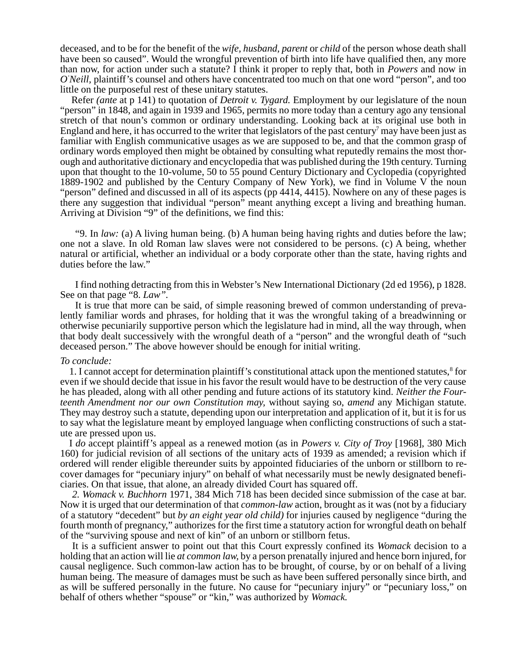deceased, and to be for the benefit of the *wife, husband, parent* or *child* of the person whose death shall have been so caused". Would the wrongful prevention of birth into life have qualified then, any more than now, for action under such a statute? I think it proper to reply that, both in *Powers* and now in *O' Neill,* plaintiff's counsel and others have concentrated too much on that one word "person", and too little on the purposeful rest of these unitary statutes.

Refer *(ante* at p 141) to quotation of *Detroit v. Tygard.* Employment by our legislature of the noun "person" in 1848, and again in 1939 and 1965, permits no more today than a century ago any tensional stretch of that noun's common or ordinary understanding. Looking back at its original use both in England and here, it has occurred to the writer that legislators of the past century<sup>7</sup> may have been just as familiar with English communicative usages as we are supposed to be, and that the common grasp of ordinary words employed then might be obtained by consulting what reputedly remains the most thorough and authoritative dictionary and encyclopedia that was published during the 19th century. Turning upon that thought to the 10-volume, 50 to 55 pound Century Dictionary and Cyclopedia (copyrighted 1889-1902 and published by the Century Company of New York), we find in Volume V the noun "person" defined and discussed in all of its aspects (pp 4414, 4415). Nowhere on any of these pages is there any suggestion that individual "person" meant anything except a living and breathing human. Arriving at Division "9" of the definitions, we find this:

"9. In *law:* (a) A living human being. (b) A human being having rights and duties before the law; one not a slave. In old Roman law slaves were not considered to be persons. (c) A being, whether natural or artificial, whether an individual or a body corporate other than the state, having rights and duties before the law."

I find nothing detracting from this in Webster's New International Dictionary (2d ed 1956), p 1828. See on that page "8. *Law".*

It is true that more can be said, of simple reasoning brewed of common understanding of prevalently familiar words and phrases, for holding that it was the wrongful taking of a breadwinning or otherwise pecuniarily supportive person which the legislature had in mind, all the way through, when that body dealt successively with the wrongful death of a "person" and the wrongful death of "such deceased person." The above however should be enough for initial writing.

### *To conclude:*

1. I cannot accept for determination plaintiff's constitutional attack upon the mentioned statutes,<sup>8</sup> for even if we should decide that issue in his favor the result would have to be destruction of the very cause he has pleaded, along with all other pending and future actions of its statutory kind. *Neither the Fourteenth Amendment nor our own Constitution may,* without saying so, *amend* any Michigan statute. They may destroy such a statute, depending upon our interpretation and application of it, but it is for us to say what the legislature meant by employed language when conflicting constructions of such a statute are pressed upon us.

I *do* accept plaintiff's appeal as a renewed motion (as in *Powers v. City of Troy* [1968], 380 Mich 160) for judicial revision of all sections of the unitary acts of 1939 as amended; a revision which if ordered will render eligible thereunder suits by appointed fiduciaries of the unborn or stillborn to recover damages for "pecuniary injury" on behalf of what necessarily must be newly designated beneficiaries. On that issue, that alone, an already divided Court has squared off.

*2. Womack v. Buchhorn* 1971, 384 Mich 718 has been decided since submission of the case at bar. Now it is urged that our determination of that *common-law* action, brought as it was (not by a fiduciary of a statutory "decedent" but *by an eight year old child)* for injuries caused by negligence "during the fourth month of pregnancy," authorizes for the first time a statutory action for wrongful death on behalf of the "surviving spouse and next of kin" of an unborn or stillborn fetus.

It is a sufficient answer to point out that this Court expressly confined its *Womack* decision to a holding that an action will lie *at common law,* by a person prenatally injured and hence born injured, for causal negligence. Such common-law action has to be brought, of course, by or on behalf of a living human being. The measure of damages must be such as have been suffered personally since birth, and as will be suffered personally in the future. No cause for "pecuniary injury" or "pecuniary loss," on behalf of others whether "spouse" or "kin," was authorized by *Womack.*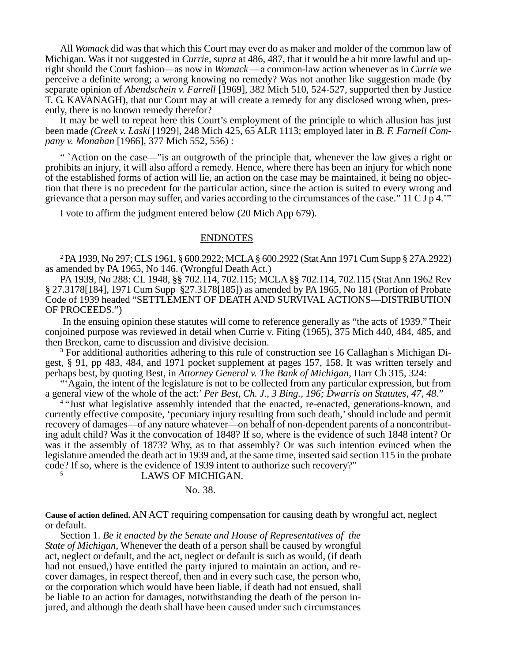All *Womack* did was that which this Court may ever do as maker and molder of the common law of Michigan. Was it not suggested in *Currie, supra* at 486, 487, that it would be a bit more lawful and upright should the Court fashion—as now in *Womack* —a common-law action whenever as in *Currie* we perceive a definite wrong; a wrong knowing no remedy? Was not another like suggestion made (by separate opinion of *Abendschein v. Farrell* [1969], 382 Mich 510, 524-527, supported then by Justice T. G. KAVANAGH), that our Court may at will create a remedy for any disclosed wrong when, presently, there is no known remedy therefor?

It may be well to repeat here this Court's employment of the principle to which allusion has just been made *(Creek v. Laski* [1929], 248 Mich 425, 65 ALR 1113; employed later in *B. F. Farnell Company v. Monahan* [1966], 377 Mich 552, 556) :

" `Action on the case—"is an outgrowth of the principle that, whenever the law gives a right or prohibits an injury, it will also afford a remedy. Hence, where there has been an injury for which none of the established forms of action will lie, an action on the case may be maintained, it being no objection that there is no precedent for the particular action, since the action is suited to every wrong and grievance that a person may suffer, and varies according to the circumstances of the case." 11 C J p 4.'"

I vote to affirm the judgment entered below (20 Mich App 679).

### ENDNOTES

2 PA 1939, No 297; CLS 1961, § 600.2922; MCLA § 600.2922 (Stat Ann 1971 Cum Supp § 27A.2922) as amended by PA 1965, No 146. (Wrongful Death Act.)

PA 1939, No 288: CL 1948, §§ 702.114, 702.115; MCLA §§ 702.114, 702.115 (Stat Ann 1962 Rev § 27.3178[184], 1971 Cum Supp §27.3178[185]) as amended by PA 1965, No 181 (Portion of Probate Code of 1939 headed "SETTLEMENT OF DEATH AND SURVIVAL ACTIONS—DISTRIBUTION OF PROCEEDS.")

 In the ensuing opinion these statutes will come to reference generally as "the acts of 1939." Their conjoined purpose was reviewed in detail when Currie v. Fiting (1965), 375 Mich 440, 484, 485, and then Breckon, came to discussion and divisive decision.

<sup>3</sup> For additional authorities adhering to this rule of construction see 16 Callaghan's Michigan Digest, § 91, pp 483, 484, and 1971 pocket supplement at pages 157, 158. It was written tersely and perhaps best, by quoting Best, in *Attorney General v. The Bank of Michigan*, Harr Ch 315, 324:

"'Again, the intent of the legislature is not to be collected from any particular expression, but from a general view of the whole of the act:' *Per Best, Ch. J., 3 Bing., 196; Dwarris on Statutes, 47, 48*."

<sup>4</sup> "Just what legislative assembly intended that the enacted, re-enacted, generations-known, and currently effective composite, 'pecuniary injury resulting from such death,' should include and permit recovery of damages—of any nature whatever—on behalf of non-dependent parents of a noncontributing adult child? Was it the convocation of 1848? If so, where is the evidence of such 1848 intent? Or was it the assembly of 1873? Why, as to that assembly? Or was such intention evinced when the legislature amended the death act in 1939 and, at the same time, inserted said section 115 in the probate code? If so, where is the evidence of 1939 intent to authorize such recovery?"

LAWS OF MICHIGAN.

#### No. 38.

**Cause of action defined.** AN ACT requiring compensation for causing death by wrongful act, neglect or default.

Section 1. *Be it enacted by the Senate and House of Representatives of the State of Michigan*, Whenever the death of a person shall be caused by wrongful act, neglect or default, and the act, neglect or default is such as would, (if death had not ensued,) have entitled the party injured to maintain an action, and recover damages, in respect thereof, then and in every such case, the person who, or the corporation which would have been liable, if death had not ensued, shall be liable to an action for damages, notwithstanding the death of the person injured, and although the death shall have been caused under such circumstances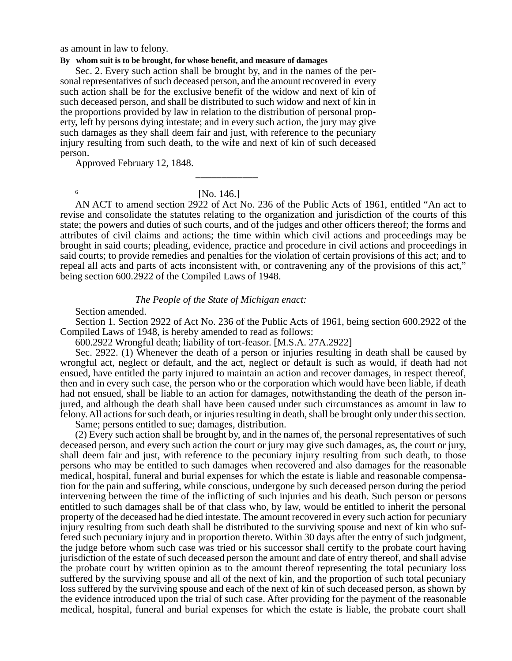as amount in law to felony.

### **By whom suit is to be brought, for whose benefit, and measure of damages**

Sec. 2. Every such action shall be brought by, and in the names of the personal representatives of such deceased person, and the amount recovered in every such action shall be for the exclusive benefit of the widow and next of kin of such deceased person, and shall be distributed to such widow and next of kin in the proportions provided by law in relation to the distribution of personal property, left by persons dying intestate; and in every such action, the jury may give such damages as they shall deem fair and just, with reference to the pecuniary injury resulting from such death, to the wife and next of kin of such deceased person.

Approved February 12, 1848.

 **\_\_\_\_\_\_\_\_\_\_\_\_**

# <sup>6</sup>[No. 146.]

AN ACT to amend section 2922 of Act No. 236 of the Public Acts of 1961, entitled "An act to revise and consolidate the statutes relating to the organization and jurisdiction of the courts of this state; the powers and duties of such courts, and of the judges and other officers thereof; the forms and attributes of civil claims and actions; the time within which civil actions and proceedings may be brought in said courts; pleading, evidence, practice and procedure in civil actions and proceedings in said courts; to provide remedies and penalties for the violation of certain provisions of this act; and to repeal all acts and parts of acts inconsistent with, or contravening any of the provisions of this act," being section 600.2922 of the Compiled Laws of 1948.

### *The People of the State of Michigan enact:*

Section amended.

Section 1. Section 2922 of Act No. 236 of the Public Acts of 1961, being section 600.2922 of the Compiled Laws of 1948, is hereby amended to read as follows:

600.2922 Wrongful death; liability of tort-feasor. [M.S.A. 27A.2922]

Sec. 2922. (1) Whenever the death of a person or injuries resulting in death shall be caused by wrongful act, neglect or default, and the act, neglect or default is such as would, if death had not ensued, have entitled the party injured to maintain an action and recover damages, in respect thereof, then and in every such case, the person who or the corporation which would have been liable, if death had not ensued, shall be liable to an action for damages, notwithstanding the death of the person injured, and although the death shall have been caused under such circumstances as amount in law to felony. All actions for such death, or injuries resulting in death, shall be brought only under this section.

Same; persons entitled to sue; damages, distribution.

(2) Every such action shall be brought by, and in the names of, the personal representatives of such deceased person, and every such action the court or jury may give such damages, as, the court or jury, shall deem fair and just, with reference to the pecuniary injury resulting from such death, to those persons who may be entitled to such damages when recovered and also damages for the reasonable medical, hospital, funeral and burial expenses for which the estate is liable and reasonable compensation for the pain and suffering, while conscious, undergone by such deceased person during the period intervening between the time of the inflicting of such injuries and his death. Such person or persons entitled to such damages shall be of that class who, by law, would be entitled to inherit the personal property of the deceased had he died intestate. The amount recovered in every such action for pecuniary injury resulting from such death shall be distributed to the surviving spouse and next of kin who suffered such pecuniary injury and in proportion thereto. Within 30 days after the entry of such judgment, the judge before whom such case was tried or his successor shall certify to the probate court having jurisdiction of the estate of such deceased person the amount and date of entry thereof, and shall advise the probate court by written opinion as to the amount thereof representing the total pecuniary loss suffered by the surviving spouse and all of the next of kin, and the proportion of such total pecuniary loss suffered by the surviving spouse and each of the next of kin of such deceased person, as shown by the evidence introduced upon the trial of such case. After providing for the payment of the reasonable medical, hospital, funeral and burial expenses for which the estate is liable, the probate court shall